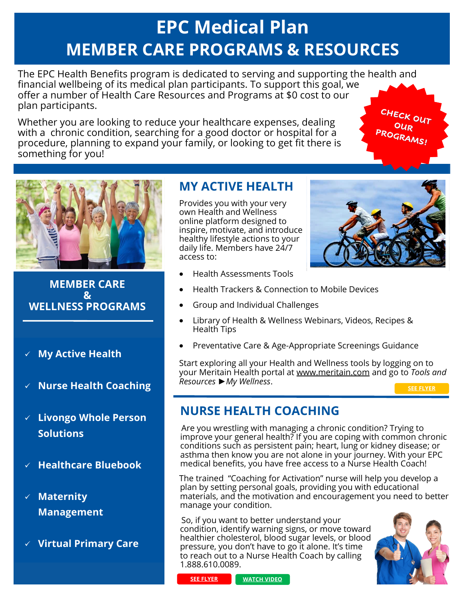# **EPC Medical Plan MEMBER CARE PROGRAMS & RESOURCES**

The EPC Health Benefits program is dedicated to serving and supporting the health and financial wellbeing of its medical plan participants. To support this goal, we offer a number of Health Care Resources and Programs at \$0 cost to our plan participants.

Whether you are looking to reduce your healthcare expenses, dealing with a chronic condition, searching for a good doctor or hospital for a procedure, planning to expand your family, or looking to get fit there is something for you!





### **MEMBER CARE & WELLNESS PROGRAMS**

- ✓ **My Active Health**
- ✓ **Nurse Health Coaching**
- ✓ **Livongo Whole Person Solutions**
- ✓ **Healthcare Bluebook**
- ✓ **Maternity Management**
- ✓ **Virtual Primary Care**

# **MY ACTIVE HEALTH**

Provides you with your very own Health and Wellness online platform designed to inspire, motivate, and introduce healthy lifestyle actions to your daily life. Members have 24/7 access to:



- Health Assessments Tools
- Health Trackers & Connection to Mobile Devices
- Group and Individual Challenges
- Library of Health & Wellness Webinars, Videos, Recipes & Health Tips
- Preventative Care & Age-Appropriate Screenings Guidance

Start exploring all your Health and Wellness tools by logging on to your Meritain Health portal at [www.meritain.com](http://www.meritain.com) and go to *Tools and Resources* ►*My Wellness*.

**[SEE FLYER](https://epc.org/wp-content/uploads/Files/4-Resources/1-Benefits/6-2022/2022MeritainMyActiveHealth.pdf)**

# **NURSE HEALTH COACHING**

 Are you wrestling with managing a chronic condition? Trying to improve your general health? If you are coping with common chronic conditions such as persistent pain; heart, lung or kidney disease; or asthma then know you are not alone in your journey. With your EPC medical benefits, you have free access to a Nurse Health Coach!

The trained "Coaching for Activation" nurse will help you develop a plan by setting personal goals, providing you with educational materials, and the motivation and encouragement you need to better manage your condition.

 So, if you want to better understand your condition, identify warning signs, or move toward healthier cholesterol, blood sugar levels, or blood pressure, you don't have to go it alone. It's time to reach out to a Nurse Health Coach by calling 1.888.610.0089.





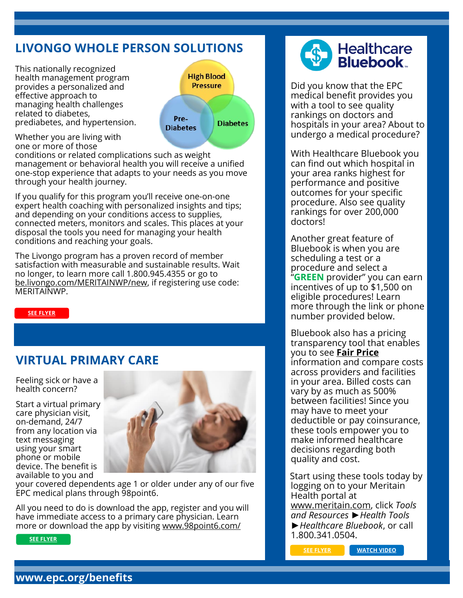# **LIVONGO WHOLE PERSON SOLUTIONS**

This nationally recognized health management program provides a personalized and effective approach to managing health challenges related to diabetes, prediabetes, and hypertension.



Whether you are living with one or more of those

conditions or related complications such as weight management or behavioral health you will receive a unified one-stop experience that adapts to your needs as you move through your health journey.

If you qualify for this program you'll receive one-on-one expert health coaching with personalized insights and tips; and depending on your conditions access to supplies, connected meters, monitors and scales. This places at your disposal the tools you need for managing your health conditions and reaching your goals.

The Livongo program has a proven record of member satisfaction with measurable and sustainable results. Wait no longer, to learn more call 1.800.945.4355 or go to [be.livongo.com/MERITAINWP/new,](https://welcome.livongo.com/REGCODE?ccid=WPGEN&utm_medium=referral&utm_source=hr&utm_campaign=hr-kit&utm_term=und&utm_content=v0-mvp) if registering use code: MERITAINWP.

#### **[SEE FLYER](https://epc.org/wp-content/uploads/Files/4-Resources/1-Benefits/6-2022/2022MeritainLivongoWholePersonMembers.pdf)**

### **VIRTUAL PRIMARY CARE**

Feeling sick or have a health concern?

Start a virtual primary care physician visit, on-demand, 24/7 from any location via text messaging using your smart phone or mobile device. The benefit is available to you and



your covered dependents age 1 or older under any of our five EPC medical plans through 98point6.

All you need to do is download the app, register and you will have immediate access to a primary care physician. Learn more or download the app by visiting [www.98point6.com/](http://www.98point6.com/members-homebase)

#### **[SEE FLYER](https://www.98point6.com/members-homebase/?utm_source=EPC&utm_medium=newsletter&utm_campaign=intro_letter)**



Did you know that the EPC medical benefit provides you with a tool to see quality rankings on doctors and hospitals in your area? About to undergo a medical procedure?

With Healthcare Bluebook you can find out which hospital in your area ranks highest for performance and positive outcomes for your specific procedure. Also see quality rankings for over 200,000 doctors!

Another great feature of Bluebook is when you are scheduling a test or a procedure and select a "**GREEN** provider" you can earn incentives of up to \$1,500 on eligible procedures! Learn more through the link or phone number provided below.

Bluebook also has a pricing transparency tool that enables you to see **Fair Price**  information and compare costs across providers and facilities in your area. Billed costs can vary by as much as 500% between facilities! Since you may have to meet your deductible or pay coinsurance, these tools empower you to make informed healthcare decisions regarding both quality and cost.

Start using these tools today by logging on to your Meritain Health portal at [www.meritain.com,](http://www.meritain.com/) click *Tools and Resources* ►*Health Tools* ►*Healthcare Bluebook*, or call 1.800.341.0504.

**[SEE FLYER](https://epc.org/wp-content/uploads/Files/4-Resources/1-Benefits/6-2022/2022MeritainHealthcareBluebook.pdf) [WATCH VIDEO](https://www.youtube.com/watch?v=p3ML4jdr2yc)**